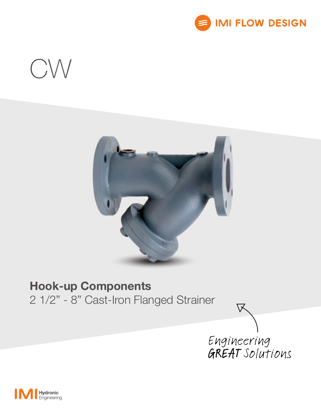

# $CW$



# Hook-up Components

2 1/2" - 8" Cast-Iron Flanged Strainer



区

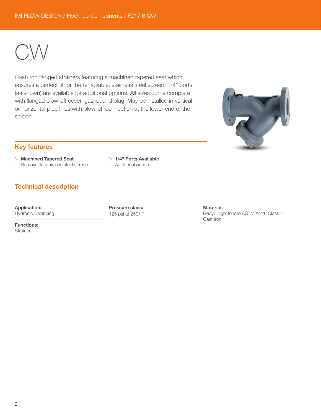CW

Cast-iron flanged strainers featuring a machined tapered seat which ensures a perfect fit for the removable, stainless steel screen. 1/4" ports (as shown) are available for additional options. All sizes come complete with flanged blow-off cover, gasket and plug. May be installed in vertical or horizontal pipe lines with blow-off connection at the lower end of the screen.



## Key features

- > Machined Tapered Seat Removable stainless steel screen
- > 1/4" Ports Available Additional option

# Technical description

Application: Hydronic Balancing Pressure class: 125 psi at 250° F Material: Body: High Tensile ASTM A126 Class B Cast Iron

Functions: **Strainer**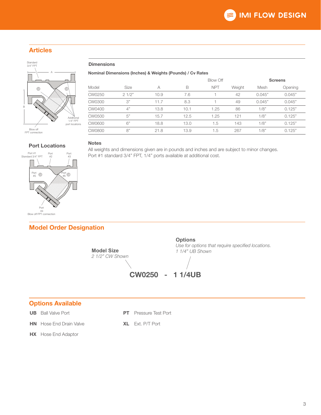# Articles



#### **Dimensions**

Notes

Nominal Dimensions (Inches) & Weights (Pounds) / Cv Rates

Port #1 standard 3/4" FPT, 1/4" ports available at additional cost.

| Model         | Size  | A    |      | <b>Blow Off</b> |        | <b>Screens</b> |         |
|---------------|-------|------|------|-----------------|--------|----------------|---------|
|               |       |      | B    | <b>NPT</b>      | Weight | Mesh           | Opening |
| CW0250        | 21/2" | 10.9 | 7.6  |                 | 42     | 0.045"         | 0.045"  |
| <b>CW0300</b> | 3"    | 11.7 | 8.3  |                 | 49     | 0.045"         | 0.045"  |
| CW0400        | 4"    | 13.8 | 10.1 | 1.25            | 86     | 1/8"           | 0.125"  |
| CW0500        | 5"    | 15.7 | 12.5 | 1.25            | 121    | 1/8"           | 0.125"  |
| CW0600        | 6"    | 18.8 | 13.0 | 1.5             | 143    | 1/8"           | 0.125"  |
| <b>CW0800</b> | 8"    | 21.8 | 13.9 | 1.5             | 267    | 1/8"           | 0.125"  |

All weights and dimensions given are in pounds and inches and are subject to minor changes.

#### Port Locations

Port #1 Standard 3/4" FPT Port #2 Port #3 Port #4 Blow off FPT connection Port #5 Port #6

# Model Order Designation



# Options Available

**UB** Ball Valve Port

**HN** Hose End Drain Valve

**PT** Pressure Test Port

## XL Ext. P/T Port

**HX** Hose End Adaptor